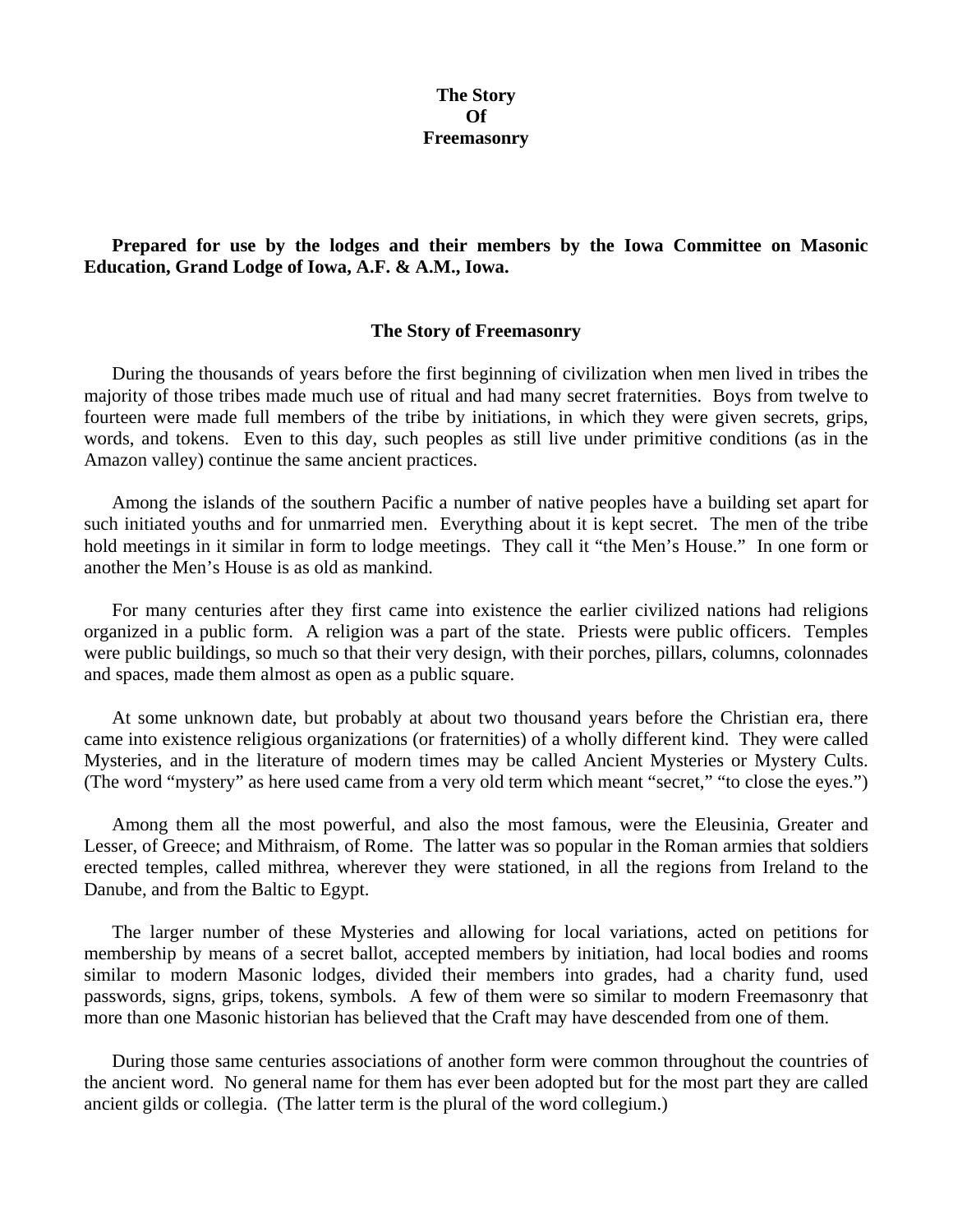## **The Story Of Freemasonry**

## **Prepared for use by the lodges and their members by the Iowa Committee on Masonic Education, Grand Lodge of Iowa, A.F. & A.M., Iowa.**

## **The Story of Freemasonry**

 During the thousands of years before the first beginning of civilization when men lived in tribes the majority of those tribes made much use of ritual and had many secret fraternities. Boys from twelve to fourteen were made full members of the tribe by initiations, in which they were given secrets, grips, words, and tokens. Even to this day, such peoples as still live under primitive conditions (as in the Amazon valley) continue the same ancient practices.

 Among the islands of the southern Pacific a number of native peoples have a building set apart for such initiated youths and for unmarried men. Everything about it is kept secret. The men of the tribe hold meetings in it similar in form to lodge meetings. They call it "the Men's House." In one form or another the Men's House is as old as mankind.

 For many centuries after they first came into existence the earlier civilized nations had religions organized in a public form. A religion was a part of the state. Priests were public officers. Temples were public buildings, so much so that their very design, with their porches, pillars, columns, colonnades and spaces, made them almost as open as a public square.

 At some unknown date, but probably at about two thousand years before the Christian era, there came into existence religious organizations (or fraternities) of a wholly different kind. They were called Mysteries, and in the literature of modern times may be called Ancient Mysteries or Mystery Cults. (The word "mystery" as here used came from a very old term which meant "secret," "to close the eyes.")

 Among them all the most powerful, and also the most famous, were the Eleusinia, Greater and Lesser, of Greece; and Mithraism, of Rome. The latter was so popular in the Roman armies that soldiers erected temples, called mithrea, wherever they were stationed, in all the regions from Ireland to the Danube, and from the Baltic to Egypt.

 The larger number of these Mysteries and allowing for local variations, acted on petitions for membership by means of a secret ballot, accepted members by initiation, had local bodies and rooms similar to modern Masonic lodges, divided their members into grades, had a charity fund, used passwords, signs, grips, tokens, symbols. A few of them were so similar to modern Freemasonry that more than one Masonic historian has believed that the Craft may have descended from one of them.

 During those same centuries associations of another form were common throughout the countries of the ancient word. No general name for them has ever been adopted but for the most part they are called ancient gilds or collegia. (The latter term is the plural of the word collegium.)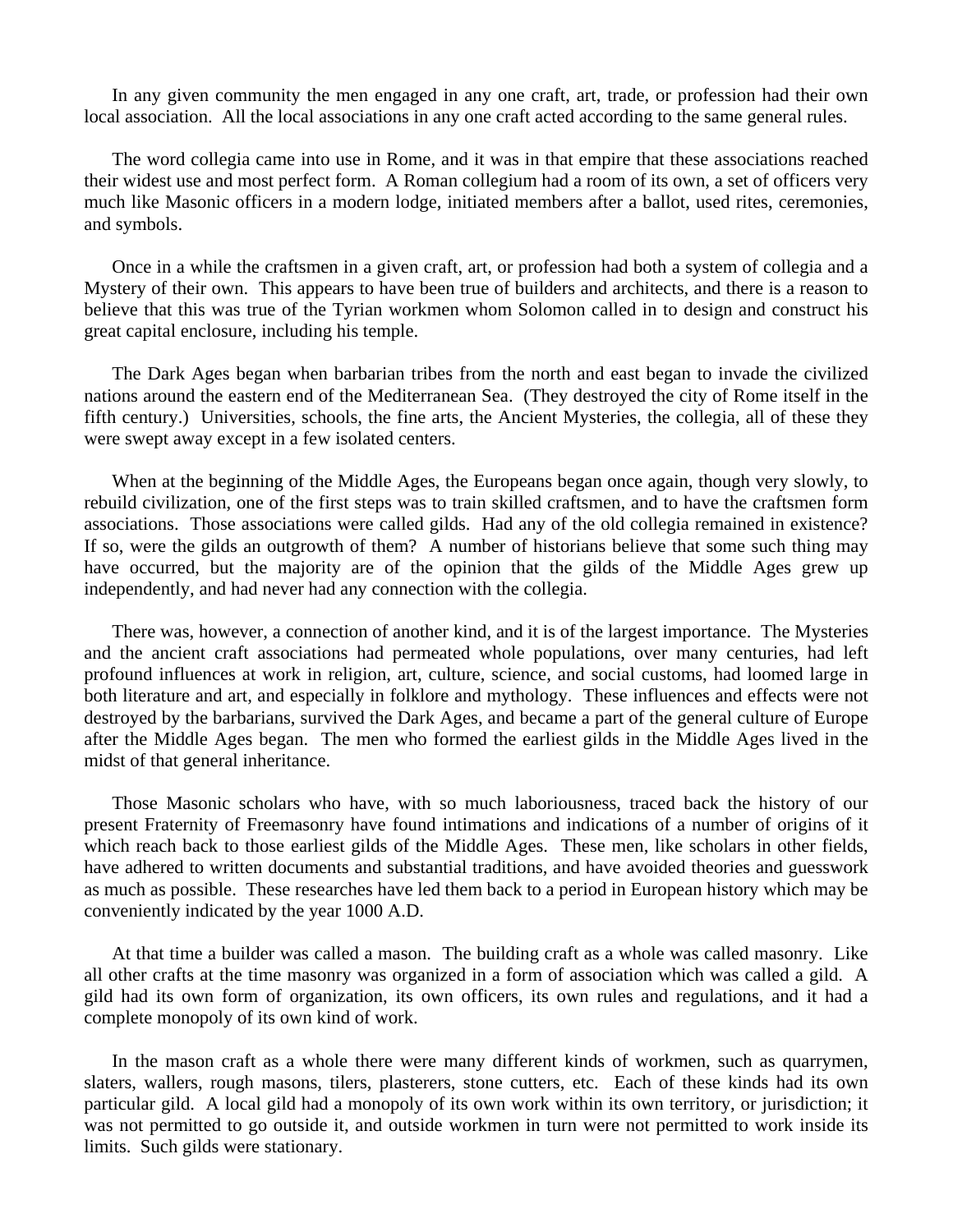In any given community the men engaged in any one craft, art, trade, or profession had their own local association. All the local associations in any one craft acted according to the same general rules.

 The word collegia came into use in Rome, and it was in that empire that these associations reached their widest use and most perfect form. A Roman collegium had a room of its own, a set of officers very much like Masonic officers in a modern lodge, initiated members after a ballot, used rites, ceremonies, and symbols.

 Once in a while the craftsmen in a given craft, art, or profession had both a system of collegia and a Mystery of their own. This appears to have been true of builders and architects, and there is a reason to believe that this was true of the Tyrian workmen whom Solomon called in to design and construct his great capital enclosure, including his temple.

 The Dark Ages began when barbarian tribes from the north and east began to invade the civilized nations around the eastern end of the Mediterranean Sea. (They destroyed the city of Rome itself in the fifth century.) Universities, schools, the fine arts, the Ancient Mysteries, the collegia, all of these they were swept away except in a few isolated centers.

 When at the beginning of the Middle Ages, the Europeans began once again, though very slowly, to rebuild civilization, one of the first steps was to train skilled craftsmen, and to have the craftsmen form associations. Those associations were called gilds. Had any of the old collegia remained in existence? If so, were the gilds an outgrowth of them? A number of historians believe that some such thing may have occurred, but the majority are of the opinion that the gilds of the Middle Ages grew up independently, and had never had any connection with the collegia.

 There was, however, a connection of another kind, and it is of the largest importance. The Mysteries and the ancient craft associations had permeated whole populations, over many centuries, had left profound influences at work in religion, art, culture, science, and social customs, had loomed large in both literature and art, and especially in folklore and mythology. These influences and effects were not destroyed by the barbarians, survived the Dark Ages, and became a part of the general culture of Europe after the Middle Ages began. The men who formed the earliest gilds in the Middle Ages lived in the midst of that general inheritance.

 Those Masonic scholars who have, with so much laboriousness, traced back the history of our present Fraternity of Freemasonry have found intimations and indications of a number of origins of it which reach back to those earliest gilds of the Middle Ages. These men, like scholars in other fields, have adhered to written documents and substantial traditions, and have avoided theories and guesswork as much as possible. These researches have led them back to a period in European history which may be conveniently indicated by the year 1000 A.D.

 At that time a builder was called a mason. The building craft as a whole was called masonry. Like all other crafts at the time masonry was organized in a form of association which was called a gild. A gild had its own form of organization, its own officers, its own rules and regulations, and it had a complete monopoly of its own kind of work.

 In the mason craft as a whole there were many different kinds of workmen, such as quarrymen, slaters, wallers, rough masons, tilers, plasterers, stone cutters, etc. Each of these kinds had its own particular gild. A local gild had a monopoly of its own work within its own territory, or jurisdiction; it was not permitted to go outside it, and outside workmen in turn were not permitted to work inside its limits. Such gilds were stationary.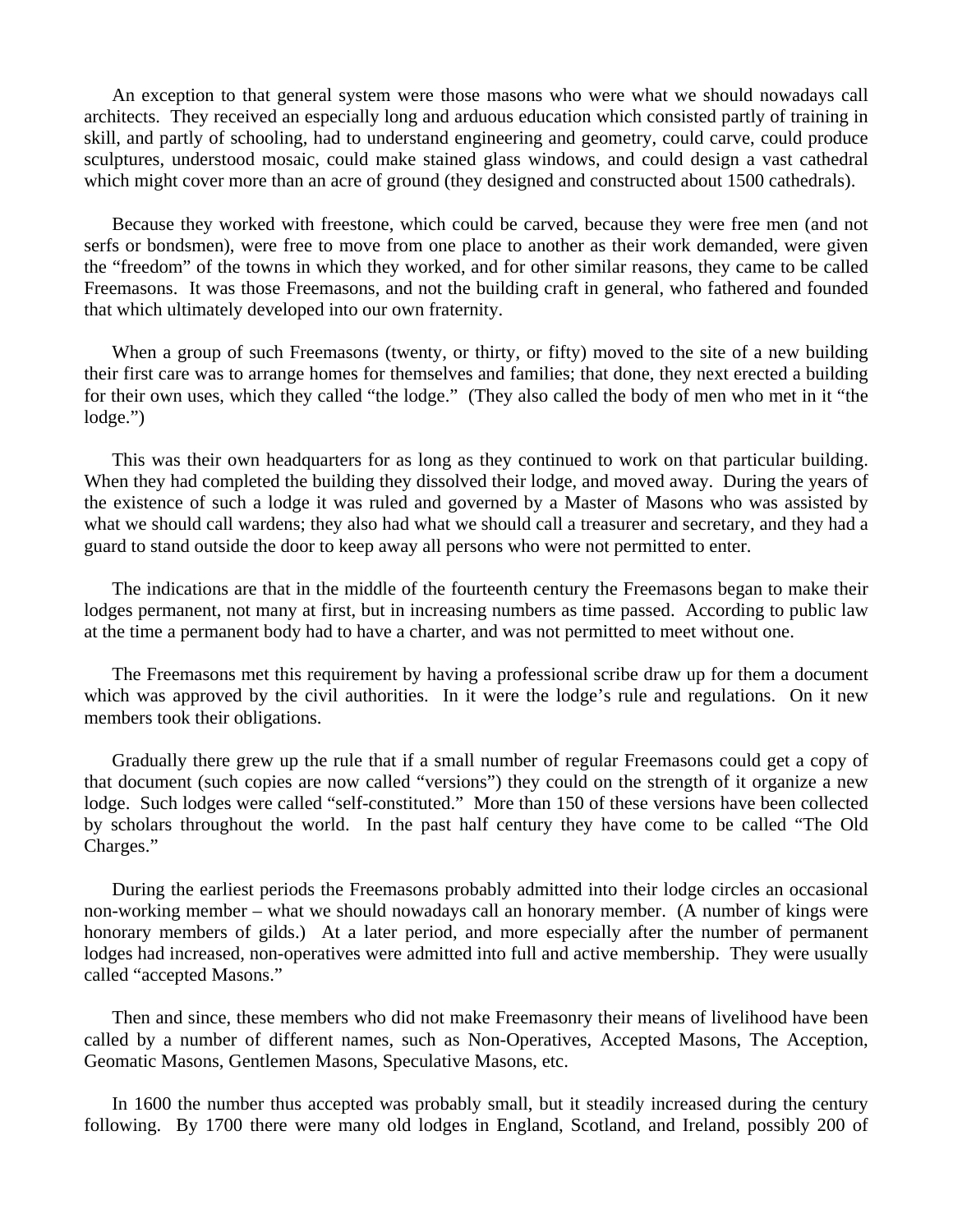An exception to that general system were those masons who were what we should nowadays call architects. They received an especially long and arduous education which consisted partly of training in skill, and partly of schooling, had to understand engineering and geometry, could carve, could produce sculptures, understood mosaic, could make stained glass windows, and could design a vast cathedral which might cover more than an acre of ground (they designed and constructed about 1500 cathedrals).

 Because they worked with freestone, which could be carved, because they were free men (and not serfs or bondsmen), were free to move from one place to another as their work demanded, were given the "freedom" of the towns in which they worked, and for other similar reasons, they came to be called Freemasons. It was those Freemasons, and not the building craft in general, who fathered and founded that which ultimately developed into our own fraternity.

 When a group of such Freemasons (twenty, or thirty, or fifty) moved to the site of a new building their first care was to arrange homes for themselves and families; that done, they next erected a building for their own uses, which they called "the lodge." (They also called the body of men who met in it "the lodge.")

 This was their own headquarters for as long as they continued to work on that particular building. When they had completed the building they dissolved their lodge, and moved away. During the years of the existence of such a lodge it was ruled and governed by a Master of Masons who was assisted by what we should call wardens; they also had what we should call a treasurer and secretary, and they had a guard to stand outside the door to keep away all persons who were not permitted to enter.

 The indications are that in the middle of the fourteenth century the Freemasons began to make their lodges permanent, not many at first, but in increasing numbers as time passed. According to public law at the time a permanent body had to have a charter, and was not permitted to meet without one.

 The Freemasons met this requirement by having a professional scribe draw up for them a document which was approved by the civil authorities. In it were the lodge's rule and regulations. On it new members took their obligations.

 Gradually there grew up the rule that if a small number of regular Freemasons could get a copy of that document (such copies are now called "versions") they could on the strength of it organize a new lodge. Such lodges were called "self-constituted." More than 150 of these versions have been collected by scholars throughout the world. In the past half century they have come to be called "The Old Charges."

 During the earliest periods the Freemasons probably admitted into their lodge circles an occasional non-working member – what we should nowadays call an honorary member. (A number of kings were honorary members of gilds.) At a later period, and more especially after the number of permanent lodges had increased, non-operatives were admitted into full and active membership. They were usually called "accepted Masons."

 Then and since, these members who did not make Freemasonry their means of livelihood have been called by a number of different names, such as Non-Operatives, Accepted Masons, The Acception, Geomatic Masons, Gentlemen Masons, Speculative Masons, etc.

 In 1600 the number thus accepted was probably small, but it steadily increased during the century following. By 1700 there were many old lodges in England, Scotland, and Ireland, possibly 200 of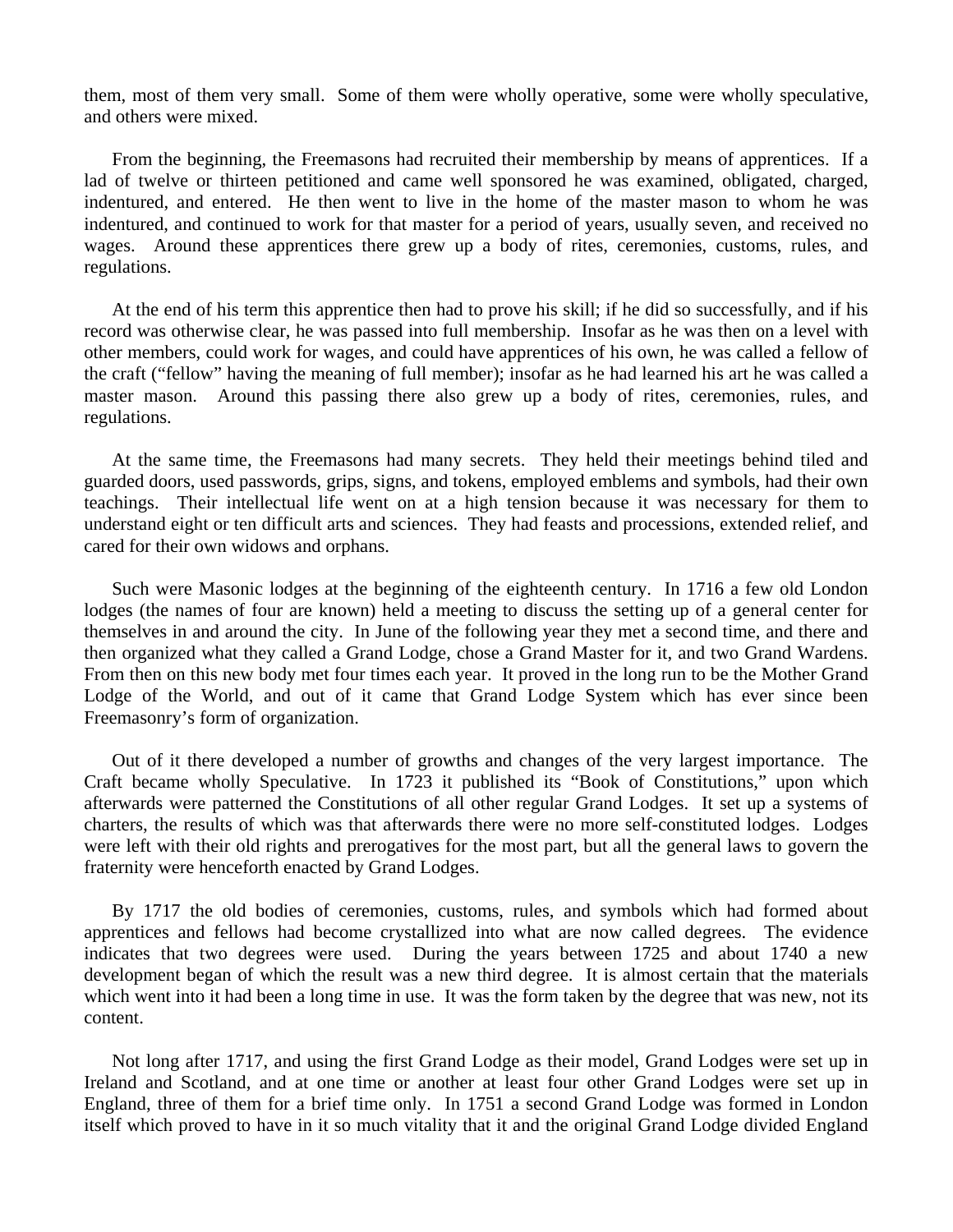them, most of them very small. Some of them were wholly operative, some were wholly speculative, and others were mixed.

 From the beginning, the Freemasons had recruited their membership by means of apprentices. If a lad of twelve or thirteen petitioned and came well sponsored he was examined, obligated, charged, indentured, and entered. He then went to live in the home of the master mason to whom he was indentured, and continued to work for that master for a period of years, usually seven, and received no wages. Around these apprentices there grew up a body of rites, ceremonies, customs, rules, and regulations.

 At the end of his term this apprentice then had to prove his skill; if he did so successfully, and if his record was otherwise clear, he was passed into full membership. Insofar as he was then on a level with other members, could work for wages, and could have apprentices of his own, he was called a fellow of the craft ("fellow" having the meaning of full member); insofar as he had learned his art he was called a master mason. Around this passing there also grew up a body of rites, ceremonies, rules, and regulations.

 At the same time, the Freemasons had many secrets. They held their meetings behind tiled and guarded doors, used passwords, grips, signs, and tokens, employed emblems and symbols, had their own teachings. Their intellectual life went on at a high tension because it was necessary for them to understand eight or ten difficult arts and sciences. They had feasts and processions, extended relief, and cared for their own widows and orphans.

 Such were Masonic lodges at the beginning of the eighteenth century. In 1716 a few old London lodges (the names of four are known) held a meeting to discuss the setting up of a general center for themselves in and around the city. In June of the following year they met a second time, and there and then organized what they called a Grand Lodge, chose a Grand Master for it, and two Grand Wardens. From then on this new body met four times each year. It proved in the long run to be the Mother Grand Lodge of the World, and out of it came that Grand Lodge System which has ever since been Freemasonry's form of organization.

 Out of it there developed a number of growths and changes of the very largest importance. The Craft became wholly Speculative. In 1723 it published its "Book of Constitutions," upon which afterwards were patterned the Constitutions of all other regular Grand Lodges. It set up a systems of charters, the results of which was that afterwards there were no more self-constituted lodges. Lodges were left with their old rights and prerogatives for the most part, but all the general laws to govern the fraternity were henceforth enacted by Grand Lodges.

 By 1717 the old bodies of ceremonies, customs, rules, and symbols which had formed about apprentices and fellows had become crystallized into what are now called degrees. The evidence indicates that two degrees were used. During the years between 1725 and about 1740 a new development began of which the result was a new third degree. It is almost certain that the materials which went into it had been a long time in use. It was the form taken by the degree that was new, not its content.

 Not long after 1717, and using the first Grand Lodge as their model, Grand Lodges were set up in Ireland and Scotland, and at one time or another at least four other Grand Lodges were set up in England, three of them for a brief time only. In 1751 a second Grand Lodge was formed in London itself which proved to have in it so much vitality that it and the original Grand Lodge divided England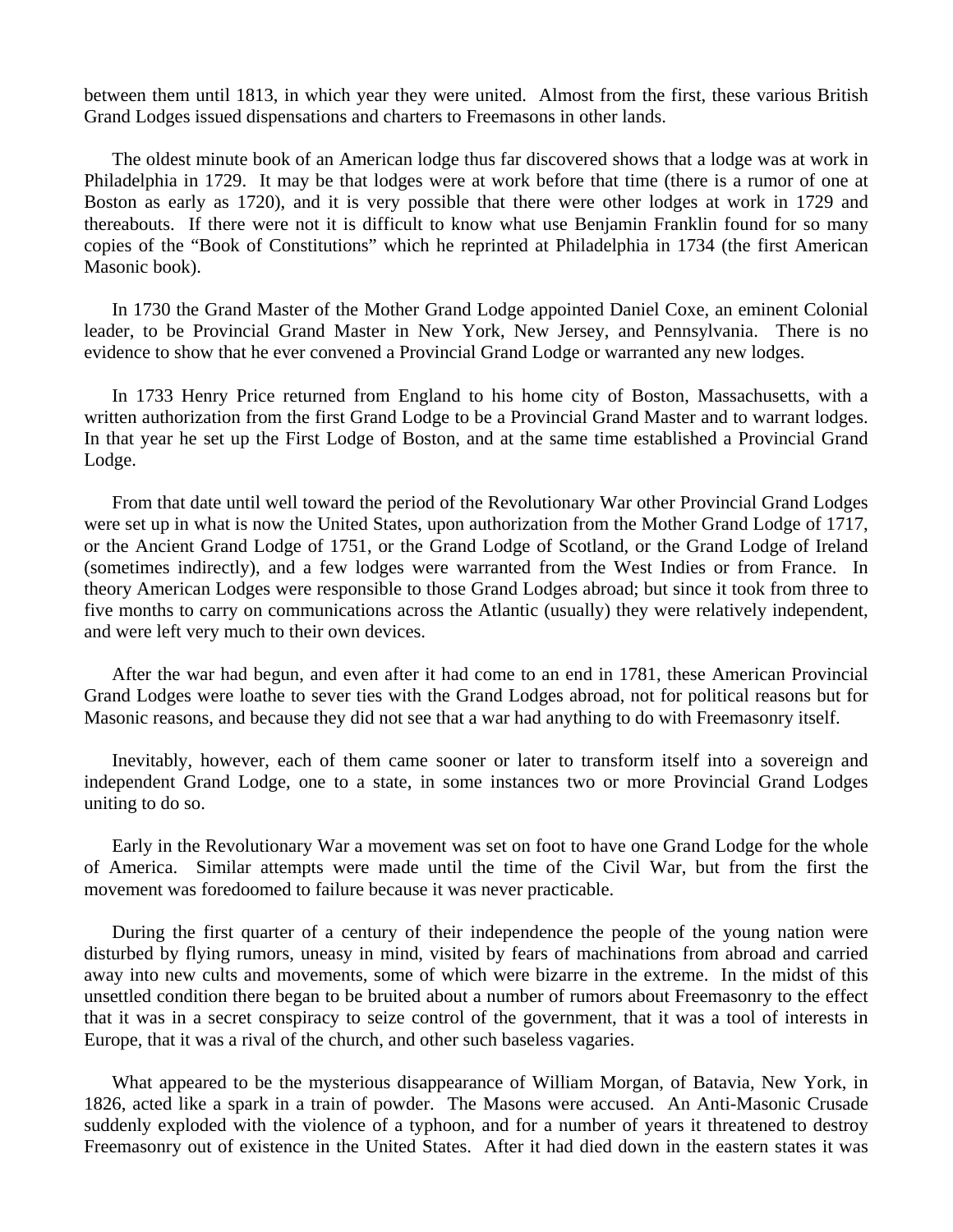between them until 1813, in which year they were united. Almost from the first, these various British Grand Lodges issued dispensations and charters to Freemasons in other lands.

 The oldest minute book of an American lodge thus far discovered shows that a lodge was at work in Philadelphia in 1729. It may be that lodges were at work before that time (there is a rumor of one at Boston as early as 1720), and it is very possible that there were other lodges at work in 1729 and thereabouts. If there were not it is difficult to know what use Benjamin Franklin found for so many copies of the "Book of Constitutions" which he reprinted at Philadelphia in 1734 (the first American Masonic book).

 In 1730 the Grand Master of the Mother Grand Lodge appointed Daniel Coxe, an eminent Colonial leader, to be Provincial Grand Master in New York, New Jersey, and Pennsylvania. There is no evidence to show that he ever convened a Provincial Grand Lodge or warranted any new lodges.

 In 1733 Henry Price returned from England to his home city of Boston, Massachusetts, with a written authorization from the first Grand Lodge to be a Provincial Grand Master and to warrant lodges. In that year he set up the First Lodge of Boston, and at the same time established a Provincial Grand Lodge.

 From that date until well toward the period of the Revolutionary War other Provincial Grand Lodges were set up in what is now the United States, upon authorization from the Mother Grand Lodge of 1717, or the Ancient Grand Lodge of 1751, or the Grand Lodge of Scotland, or the Grand Lodge of Ireland (sometimes indirectly), and a few lodges were warranted from the West Indies or from France. In theory American Lodges were responsible to those Grand Lodges abroad; but since it took from three to five months to carry on communications across the Atlantic (usually) they were relatively independent, and were left very much to their own devices.

 After the war had begun, and even after it had come to an end in 1781, these American Provincial Grand Lodges were loathe to sever ties with the Grand Lodges abroad, not for political reasons but for Masonic reasons, and because they did not see that a war had anything to do with Freemasonry itself.

 Inevitably, however, each of them came sooner or later to transform itself into a sovereign and independent Grand Lodge, one to a state, in some instances two or more Provincial Grand Lodges uniting to do so.

 Early in the Revolutionary War a movement was set on foot to have one Grand Lodge for the whole of America. Similar attempts were made until the time of the Civil War, but from the first the movement was foredoomed to failure because it was never practicable.

 During the first quarter of a century of their independence the people of the young nation were disturbed by flying rumors, uneasy in mind, visited by fears of machinations from abroad and carried away into new cults and movements, some of which were bizarre in the extreme. In the midst of this unsettled condition there began to be bruited about a number of rumors about Freemasonry to the effect that it was in a secret conspiracy to seize control of the government, that it was a tool of interests in Europe, that it was a rival of the church, and other such baseless vagaries.

 What appeared to be the mysterious disappearance of William Morgan, of Batavia, New York, in 1826, acted like a spark in a train of powder. The Masons were accused. An Anti-Masonic Crusade suddenly exploded with the violence of a typhoon, and for a number of years it threatened to destroy Freemasonry out of existence in the United States. After it had died down in the eastern states it was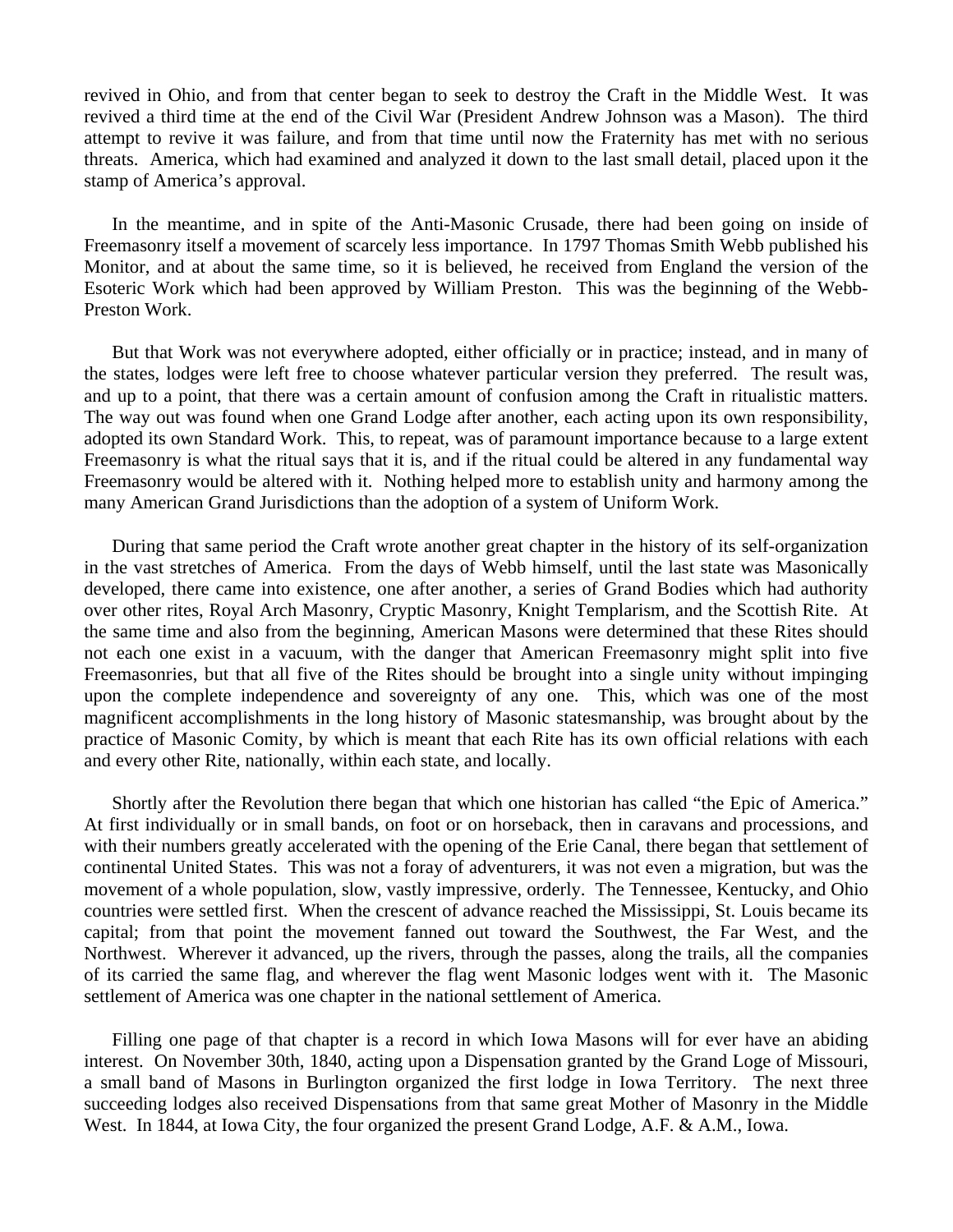revived in Ohio, and from that center began to seek to destroy the Craft in the Middle West. It was revived a third time at the end of the Civil War (President Andrew Johnson was a Mason). The third attempt to revive it was failure, and from that time until now the Fraternity has met with no serious threats. America, which had examined and analyzed it down to the last small detail, placed upon it the stamp of America's approval.

 In the meantime, and in spite of the Anti-Masonic Crusade, there had been going on inside of Freemasonry itself a movement of scarcely less importance. In 1797 Thomas Smith Webb published his Monitor, and at about the same time, so it is believed, he received from England the version of the Esoteric Work which had been approved by William Preston. This was the beginning of the Webb-Preston Work.

 But that Work was not everywhere adopted, either officially or in practice; instead, and in many of the states, lodges were left free to choose whatever particular version they preferred. The result was, and up to a point, that there was a certain amount of confusion among the Craft in ritualistic matters. The way out was found when one Grand Lodge after another, each acting upon its own responsibility, adopted its own Standard Work. This, to repeat, was of paramount importance because to a large extent Freemasonry is what the ritual says that it is, and if the ritual could be altered in any fundamental way Freemasonry would be altered with it. Nothing helped more to establish unity and harmony among the many American Grand Jurisdictions than the adoption of a system of Uniform Work.

 During that same period the Craft wrote another great chapter in the history of its self-organization in the vast stretches of America. From the days of Webb himself, until the last state was Masonically developed, there came into existence, one after another, a series of Grand Bodies which had authority over other rites, Royal Arch Masonry, Cryptic Masonry, Knight Templarism, and the Scottish Rite. At the same time and also from the beginning, American Masons were determined that these Rites should not each one exist in a vacuum, with the danger that American Freemasonry might split into five Freemasonries, but that all five of the Rites should be brought into a single unity without impinging upon the complete independence and sovereignty of any one. This, which was one of the most magnificent accomplishments in the long history of Masonic statesmanship, was brought about by the practice of Masonic Comity, by which is meant that each Rite has its own official relations with each and every other Rite, nationally, within each state, and locally.

 Shortly after the Revolution there began that which one historian has called "the Epic of America." At first individually or in small bands, on foot or on horseback, then in caravans and processions, and with their numbers greatly accelerated with the opening of the Erie Canal, there began that settlement of continental United States. This was not a foray of adventurers, it was not even a migration, but was the movement of a whole population, slow, vastly impressive, orderly. The Tennessee, Kentucky, and Ohio countries were settled first. When the crescent of advance reached the Mississippi, St. Louis became its capital; from that point the movement fanned out toward the Southwest, the Far West, and the Northwest. Wherever it advanced, up the rivers, through the passes, along the trails, all the companies of its carried the same flag, and wherever the flag went Masonic lodges went with it. The Masonic settlement of America was one chapter in the national settlement of America.

 Filling one page of that chapter is a record in which Iowa Masons will for ever have an abiding interest. On November 30th, 1840, acting upon a Dispensation granted by the Grand Loge of Missouri, a small band of Masons in Burlington organized the first lodge in Iowa Territory. The next three succeeding lodges also received Dispensations from that same great Mother of Masonry in the Middle West. In 1844, at Iowa City, the four organized the present Grand Lodge, A.F. & A.M., Iowa.